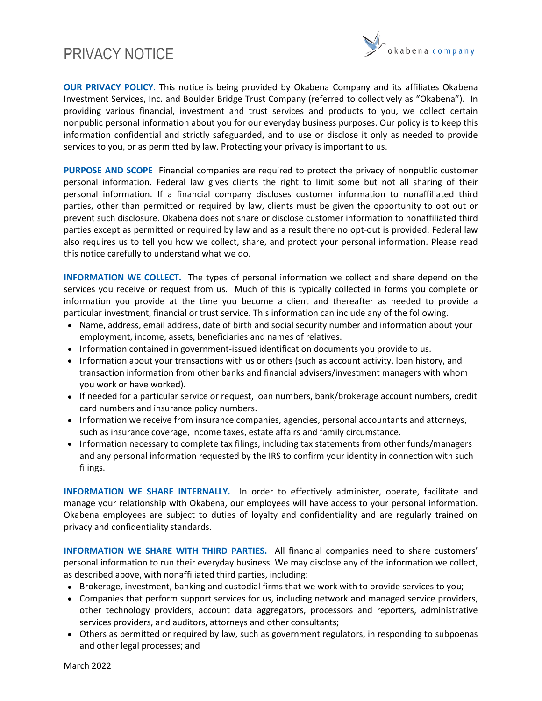## PRIVACY NOTICE



**OUR PRIVACY POLICY**. This notice is being provided by Okabena Company and its affiliates Okabena Investment Services, Inc. and Boulder Bridge Trust Company (referred to collectively as "Okabena"). In providing various financial, investment and trust services and products to you, we collect certain nonpublic personal information about you for our everyday business purposes. Our policy is to keep this information confidential and strictly safeguarded, and to use or disclose it only as needed to provide services to you, or as permitted by law. Protecting your privacy is important to us.

**PURPOSE AND SCOPE** Financial companies are required to protect the privacy of nonpublic customer personal information. Federal law gives clients the right to limit some but not all sharing of their personal information. If a financial company discloses customer information to nonaffiliated third parties, other than permitted or required by law, clients must be given the opportunity to opt out or prevent such disclosure. Okabena does not share or disclose customer information to nonaffiliated third parties except as permitted or required by law and as a result there no opt-out is provided. Federal law also requires us to tell you how we collect, share, and protect your personal information. Please read this notice carefully to understand what we do.

**INFORMATION WE COLLECT.** The types of personal information we collect and share depend on the services you receive or request from us. Much of this is typically collected in forms you complete or information you provide at the time you become a client and thereafter as needed to provide a particular investment, financial or trust service. This information can include any of the following.

- Name, address, email address, date of birth and social security number and information about your employment, income, assets, beneficiaries and names of relatives.
- Information contained in government-issued identification documents you provide to us.
- Information about your transactions with us or others (such as account activity, loan history, and transaction information from other banks and financial advisers/investment managers with whom you work or have worked).
- If needed for a particular service or request, loan numbers, bank/brokerage account numbers, credit card numbers and insurance policy numbers.
- Information we receive from insurance companies, agencies, personal accountants and attorneys, such as insurance coverage, income taxes, estate affairs and family circumstance.
- Information necessary to complete tax filings, including tax statements from other funds/managers and any personal information requested by the IRS to confirm your identity in connection with such filings.

**INFORMATION WE SHARE INTERNALLY.** In order to effectively administer, operate, facilitate and manage your relationship with Okabena, our employees will have access to your personal information. Okabena employees are subject to duties of loyalty and confidentiality and are regularly trained on privacy and confidentiality standards.

**INFORMATION WE SHARE WITH THIRD PARTIES.** All financial companies need to share customers' personal information to run their everyday business. We may disclose any of the information we collect, as described above, with nonaffiliated third parties, including:

- Brokerage, investment, banking and custodial firms that we work with to provide services to you;
- Companies that perform support services for us, including network and managed service providers, other technology providers, account data aggregators, processors and reporters, administrative services providers, and auditors, attorneys and other consultants;
- Others as permitted or required by law, such as government regulators, in responding to subpoenas and other legal processes; and